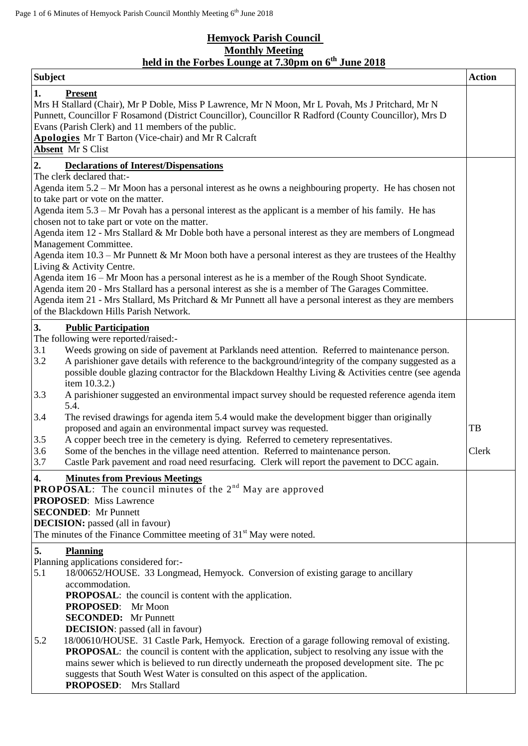## **Hemyock Parish Council Monthly Meeting held in the Forbes Lounge at 7.30pm on 6 th June 2018**

| <b>Subject</b>                                                                                                                                                                                                                                                                                                                                                                     |                                                                                                                                                                                                                 | <b>Action</b> |
|------------------------------------------------------------------------------------------------------------------------------------------------------------------------------------------------------------------------------------------------------------------------------------------------------------------------------------------------------------------------------------|-----------------------------------------------------------------------------------------------------------------------------------------------------------------------------------------------------------------|---------------|
| 1.<br><b>Present</b><br>Mrs H Stallard (Chair), Mr P Doble, Miss P Lawrence, Mr N Moon, Mr L Povah, Ms J Pritchard, Mr N<br>Punnett, Councillor F Rosamond (District Councillor), Councillor R Radford (County Councillor), Mrs D<br>Evans (Parish Clerk) and 11 members of the public.<br><b>Apologies</b> Mr T Barton (Vice-chair) and Mr R Calcraft<br><b>Absent</b> Mr S Clist |                                                                                                                                                                                                                 |               |
| 2.                                                                                                                                                                                                                                                                                                                                                                                 | <b>Declarations of Interest/Dispensations</b>                                                                                                                                                                   |               |
|                                                                                                                                                                                                                                                                                                                                                                                    | The clerk declared that:-                                                                                                                                                                                       |               |
| Agenda item 5.2 – Mr Moon has a personal interest as he owns a neighbouring property. He has chosen not                                                                                                                                                                                                                                                                            |                                                                                                                                                                                                                 |               |
| to take part or vote on the matter.<br>Agenda item 5.3 – Mr Povah has a personal interest as the applicant is a member of his family. He has                                                                                                                                                                                                                                       |                                                                                                                                                                                                                 |               |
|                                                                                                                                                                                                                                                                                                                                                                                    | chosen not to take part or vote on the matter.                                                                                                                                                                  |               |
|                                                                                                                                                                                                                                                                                                                                                                                    | Agenda item 12 - Mrs Stallard & Mr Doble both have a personal interest as they are members of Longmead                                                                                                          |               |
|                                                                                                                                                                                                                                                                                                                                                                                    | Management Committee.                                                                                                                                                                                           |               |
|                                                                                                                                                                                                                                                                                                                                                                                    | Agenda item $10.3$ – Mr Punnett & Mr Moon both have a personal interest as they are trustees of the Healthy                                                                                                     |               |
|                                                                                                                                                                                                                                                                                                                                                                                    | Living & Activity Centre.                                                                                                                                                                                       |               |
|                                                                                                                                                                                                                                                                                                                                                                                    | Agenda item $16 - Mr$ Moon has a personal interest as he is a member of the Rough Shoot Syndicate.                                                                                                              |               |
|                                                                                                                                                                                                                                                                                                                                                                                    | Agenda item 20 - Mrs Stallard has a personal interest as she is a member of The Garages Committee.<br>Agenda item 21 - Mrs Stallard, Ms Pritchard & Mr Punnett all have a personal interest as they are members |               |
|                                                                                                                                                                                                                                                                                                                                                                                    | of the Blackdown Hills Parish Network.                                                                                                                                                                          |               |
| 3.                                                                                                                                                                                                                                                                                                                                                                                 |                                                                                                                                                                                                                 |               |
|                                                                                                                                                                                                                                                                                                                                                                                    | <b>Public Participation</b><br>The following were reported/raised:-                                                                                                                                             |               |
| 3.1                                                                                                                                                                                                                                                                                                                                                                                | Weeds growing on side of pavement at Parklands need attention. Referred to maintenance person.                                                                                                                  |               |
| 3.2                                                                                                                                                                                                                                                                                                                                                                                | A parishioner gave details with reference to the background/integrity of the company suggested as a                                                                                                             |               |
|                                                                                                                                                                                                                                                                                                                                                                                    | possible double glazing contractor for the Blackdown Healthy Living & Activities centre (see agenda                                                                                                             |               |
|                                                                                                                                                                                                                                                                                                                                                                                    | item 10.3.2.)                                                                                                                                                                                                   |               |
| 3.3                                                                                                                                                                                                                                                                                                                                                                                | A parishioner suggested an environmental impact survey should be requested reference agenda item<br>5.4.                                                                                                        |               |
| 3.4                                                                                                                                                                                                                                                                                                                                                                                | The revised drawings for agenda item 5.4 would make the development bigger than originally                                                                                                                      |               |
|                                                                                                                                                                                                                                                                                                                                                                                    | proposed and again an environmental impact survey was requested.                                                                                                                                                | TB            |
| 3.5                                                                                                                                                                                                                                                                                                                                                                                | A copper beech tree in the cemetery is dying. Referred to cemetery representatives.                                                                                                                             |               |
| 3.6                                                                                                                                                                                                                                                                                                                                                                                | Some of the benches in the village need attention. Referred to maintenance person.                                                                                                                              | Clerk         |
| 3.7                                                                                                                                                                                                                                                                                                                                                                                | Castle Park pavement and road need resurfacing. Clerk will report the pavement to DCC again.                                                                                                                    |               |
| 4.                                                                                                                                                                                                                                                                                                                                                                                 | <b>Minutes from Previous Meetings</b>                                                                                                                                                                           |               |
|                                                                                                                                                                                                                                                                                                                                                                                    | <b>PROPOSAL:</b> The council minutes of the $2nd$ May are approved                                                                                                                                              |               |
|                                                                                                                                                                                                                                                                                                                                                                                    | <b>PROPOSED:</b> Miss Lawrence                                                                                                                                                                                  |               |
|                                                                                                                                                                                                                                                                                                                                                                                    | <b>SECONDED:</b> Mr Punnett                                                                                                                                                                                     |               |
|                                                                                                                                                                                                                                                                                                                                                                                    | <b>DECISION:</b> passed (all in favour)<br>The minutes of the Finance Committee meeting of $31st$ May were noted.                                                                                               |               |
|                                                                                                                                                                                                                                                                                                                                                                                    |                                                                                                                                                                                                                 |               |
| 5.                                                                                                                                                                                                                                                                                                                                                                                 | <b>Planning</b>                                                                                                                                                                                                 |               |
| 5.1                                                                                                                                                                                                                                                                                                                                                                                | Planning applications considered for:-<br>18/00652/HOUSE. 33 Longmead, Hemyock. Conversion of existing garage to ancillary                                                                                      |               |
|                                                                                                                                                                                                                                                                                                                                                                                    | accommodation.                                                                                                                                                                                                  |               |
|                                                                                                                                                                                                                                                                                                                                                                                    | <b>PROPOSAL:</b> the council is content with the application.                                                                                                                                                   |               |
|                                                                                                                                                                                                                                                                                                                                                                                    | <b>PROPOSED:</b><br>Mr Moon                                                                                                                                                                                     |               |
|                                                                                                                                                                                                                                                                                                                                                                                    | <b>SECONDED:</b> Mr Punnett                                                                                                                                                                                     |               |
|                                                                                                                                                                                                                                                                                                                                                                                    | <b>DECISION</b> : passed (all in favour)                                                                                                                                                                        |               |
| 5.2                                                                                                                                                                                                                                                                                                                                                                                | 18/00610/HOUSE. 31 Castle Park, Hemyock. Erection of a garage following removal of existing.                                                                                                                    |               |
|                                                                                                                                                                                                                                                                                                                                                                                    | <b>PROPOSAL:</b> the council is content with the application, subject to resolving any issue with the                                                                                                           |               |
|                                                                                                                                                                                                                                                                                                                                                                                    | mains sewer which is believed to run directly underneath the proposed development site. The pc                                                                                                                  |               |
|                                                                                                                                                                                                                                                                                                                                                                                    | suggests that South West Water is consulted on this aspect of the application.<br><b>PROPOSED:</b> Mrs Stallard                                                                                                 |               |
|                                                                                                                                                                                                                                                                                                                                                                                    |                                                                                                                                                                                                                 |               |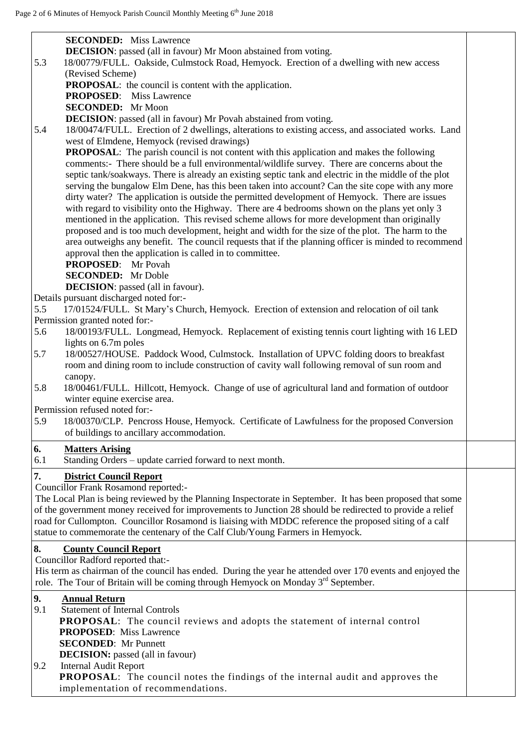| <b>SECONDED:</b> Miss Lawrence                                                                                                                                                           |  |
|------------------------------------------------------------------------------------------------------------------------------------------------------------------------------------------|--|
| <b>DECISION:</b> passed (all in favour) Mr Moon abstained from voting.                                                                                                                   |  |
| 5.3<br>18/00779/FULL. Oakside, Culmstock Road, Hemyock. Erection of a dwelling with new access                                                                                           |  |
| (Revised Scheme)                                                                                                                                                                         |  |
| <b>PROPOSAL:</b> the council is content with the application.                                                                                                                            |  |
| <b>PROPOSED:</b> Miss Lawrence                                                                                                                                                           |  |
| <b>SECONDED:</b> Mr Moon                                                                                                                                                                 |  |
| <b>DECISION:</b> passed (all in favour) Mr Povah abstained from voting.                                                                                                                  |  |
| 5.4<br>18/00474/FULL. Erection of 2 dwellings, alterations to existing access, and associated works. Land                                                                                |  |
| west of Elmdene, Hemyock (revised drawings)                                                                                                                                              |  |
| <b>PROPOSAL:</b> The parish council is not content with this application and makes the following                                                                                         |  |
| comments:- There should be a full environmental/wildlife survey. There are concerns about the                                                                                            |  |
| septic tank/soakways. There is already an existing septic tank and electric in the middle of the plot                                                                                    |  |
| serving the bungalow Elm Dene, has this been taken into account? Can the site cope with any more                                                                                         |  |
| dirty water? The application is outside the permitted development of Hemyock. There are issues                                                                                           |  |
| with regard to visibility onto the Highway. There are 4 bedrooms shown on the plans yet only 3                                                                                           |  |
| mentioned in the application. This revised scheme allows for more development than originally                                                                                            |  |
| proposed and is too much development, height and width for the size of the plot. The harm to the                                                                                         |  |
| area outweighs any benefit. The council requests that if the planning officer is minded to recommend<br>approval then the application is called in to committee.                         |  |
| <b>PROPOSED:</b> Mr Povah                                                                                                                                                                |  |
| <b>SECONDED:</b> Mr Doble                                                                                                                                                                |  |
| <b>DECISION</b> : passed (all in favour).                                                                                                                                                |  |
| Details pursuant discharged noted for:-                                                                                                                                                  |  |
| 5.5<br>17/01524/FULL. St Mary's Church, Hemyock. Erection of extension and relocation of oil tank                                                                                        |  |
| Permission granted noted for:-                                                                                                                                                           |  |
| 5.6<br>18/00193/FULL. Longmead, Hemyock. Replacement of existing tennis court lighting with 16 LED                                                                                       |  |
| lights on 6.7m poles                                                                                                                                                                     |  |
| 5.7<br>18/00527/HOUSE. Paddock Wood, Culmstock. Installation of UPVC folding doors to breakfast                                                                                          |  |
| room and dining room to include construction of cavity wall following removal of sun room and                                                                                            |  |
| canopy.                                                                                                                                                                                  |  |
| 5.8<br>18/00461/FULL. Hillcott, Hemyock. Change of use of agricultural land and formation of outdoor                                                                                     |  |
| winter equine exercise area.                                                                                                                                                             |  |
| Permission refused noted for:-                                                                                                                                                           |  |
| 5.9<br>18/00370/CLP. Pencross House, Hemyock. Certificate of Lawfulness for the proposed Conversion                                                                                      |  |
| of buildings to ancillary accommodation.                                                                                                                                                 |  |
| 6.<br><b>Matters Arising</b>                                                                                                                                                             |  |
| Standing Orders - update carried forward to next month.<br>6.1                                                                                                                           |  |
|                                                                                                                                                                                          |  |
| 7.<br><b>District Council Report</b>                                                                                                                                                     |  |
| <b>Councillor Frank Rosamond reported:-</b>                                                                                                                                              |  |
| The Local Plan is being reviewed by the Planning Inspectorate in September. It has been proposed that some                                                                               |  |
| of the government money received for improvements to Junction 28 should be redirected to provide a relief                                                                                |  |
| road for Cullompton. Councillor Rosamond is liaising with MDDC reference the proposed siting of a calf<br>statue to commemorate the centenary of the Calf Club/Young Farmers in Hemyock. |  |
|                                                                                                                                                                                          |  |
| 8.<br><b>County Council Report</b>                                                                                                                                                       |  |
| Councillor Radford reported that:-                                                                                                                                                       |  |
| His term as chairman of the council has ended. During the year he attended over 170 events and enjoyed the                                                                               |  |
| role. The Tour of Britain will be coming through Hemyock on Monday 3 <sup>rd</sup> September.                                                                                            |  |
| 9.<br><b>Annual Return</b>                                                                                                                                                               |  |
| <b>Statement of Internal Controls</b><br>9.1                                                                                                                                             |  |
| <b>PROPOSAL:</b> The council reviews and adopts the statement of internal control                                                                                                        |  |
| <b>PROPOSED:</b> Miss Lawrence                                                                                                                                                           |  |
| <b>SECONDED:</b> Mr Punnett                                                                                                                                                              |  |
| <b>DECISION:</b> passed (all in favour)                                                                                                                                                  |  |
| <b>Internal Audit Report</b><br>9.2                                                                                                                                                      |  |
| PROPOSAL: The council notes the findings of the internal audit and approves the                                                                                                          |  |
| implementation of recommendations.                                                                                                                                                       |  |
|                                                                                                                                                                                          |  |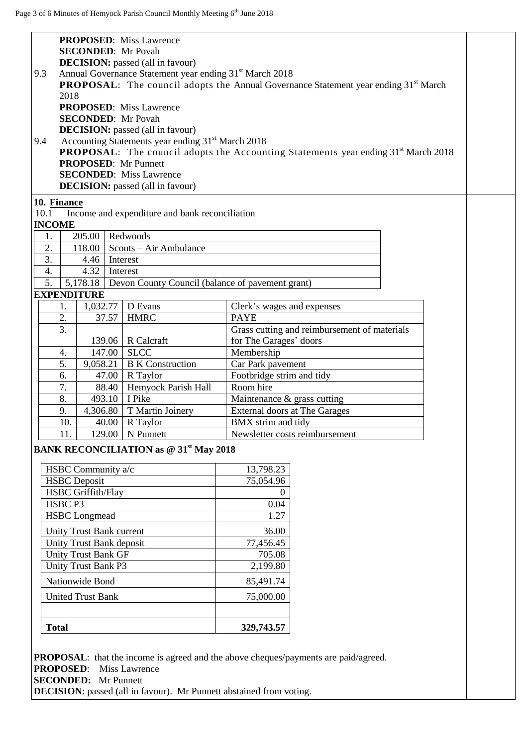| <b>PROPOSED:</b> Miss Lawrence                                                                        |                                                                                                        |  |  |
|-------------------------------------------------------------------------------------------------------|--------------------------------------------------------------------------------------------------------|--|--|
| <b>SECONDED:</b> Mr Povah                                                                             |                                                                                                        |  |  |
| <b>DECISION:</b> passed (all in favour)                                                               |                                                                                                        |  |  |
| Annual Governance Statement year ending 31 <sup>st</sup> March 2018<br>9.3                            |                                                                                                        |  |  |
|                                                                                                       | <b>PROPOSAL:</b> The council adopts the Annual Governance Statement year ending 31 <sup>st</sup> March |  |  |
| 2018                                                                                                  |                                                                                                        |  |  |
| <b>PROPOSED:</b> Miss Lawrence                                                                        |                                                                                                        |  |  |
| <b>SECONDED:</b> Mr Povah                                                                             |                                                                                                        |  |  |
| <b>DECISION:</b> passed (all in favour)                                                               |                                                                                                        |  |  |
| Accounting Statements year ending 31 <sup>st</sup> March 2018<br>9.4                                  |                                                                                                        |  |  |
| <b>PROPOSAL:</b> The council adopts the Accounting Statements year ending 31 <sup>st</sup> March 2018 |                                                                                                        |  |  |
| <b>PROPOSED:</b> Mr Punnett                                                                           |                                                                                                        |  |  |
| <b>SECONDED:</b> Miss Lawrence                                                                        |                                                                                                        |  |  |
| <b>DECISION:</b> passed (all in favour)                                                               |                                                                                                        |  |  |
| 10. Finance                                                                                           |                                                                                                        |  |  |
| 10.1<br>Income and expenditure and bank reconciliation                                                |                                                                                                        |  |  |
| <b>INCOME</b>                                                                                         |                                                                                                        |  |  |
| 205.00<br>Redwoods<br>1.                                                                              |                                                                                                        |  |  |
| 118.00<br>Scouts – Air Ambulance<br>2.                                                                |                                                                                                        |  |  |
| 3.<br>4.46<br>Interest                                                                                |                                                                                                        |  |  |
| 4.<br>4.32<br>Interest                                                                                |                                                                                                        |  |  |
| 5.<br>5,178.18 Devon County Council (balance of pavement grant)                                       |                                                                                                        |  |  |
| <b>EXPENDITURE</b>                                                                                    |                                                                                                        |  |  |
| D Evans<br>1.<br>1,032.77                                                                             | Clerk's wages and expenses                                                                             |  |  |
| 2.<br><b>HMRC</b><br>37.57                                                                            | <b>PAYE</b>                                                                                            |  |  |
| $\overline{3}$ .                                                                                      | Grass cutting and reimbursement of materials                                                           |  |  |
| R Calcraft<br>139.06<br><b>SLCC</b>                                                                   | for The Garages' doors                                                                                 |  |  |
| 147.00<br>4.<br><b>B</b> K Construction<br>5.<br>9,058.21                                             | Membership                                                                                             |  |  |
| 6.<br>47.00<br>R Taylor                                                                               | Car Park pavement<br>Footbridge strim and tidy                                                         |  |  |
| 7.                                                                                                    | Room hire                                                                                              |  |  |
| 8.<br>I Pike<br>493.10                                                                                | Hemyock Parish Hall<br>88.40<br>Maintenance & grass cutting                                            |  |  |
| T Martin Joinery<br>9.<br>4,306.80                                                                    | External doors at The Garages                                                                          |  |  |
| 10.<br>40.00<br>R Taylor                                                                              | BMX strim and tidy                                                                                     |  |  |
| N Punnett<br>11.<br>129.00                                                                            | Newsletter costs reimbursement                                                                         |  |  |
|                                                                                                       |                                                                                                        |  |  |
| <b>BANK RECONCILIATION as @ 31st May 2018</b>                                                         |                                                                                                        |  |  |
| HSBC Community a/c                                                                                    | 13,798.23                                                                                              |  |  |
| <b>HSBC</b> Deposit                                                                                   | 75,054.96                                                                                              |  |  |
| <b>HSBC</b> Griffith/Flay                                                                             | $\overline{0}$                                                                                         |  |  |
| HSBC <sub>P3</sub>                                                                                    | 0.04                                                                                                   |  |  |
| <b>HSBC</b> Longmead                                                                                  | 1.27                                                                                                   |  |  |
|                                                                                                       |                                                                                                        |  |  |
| Unity Trust Bank current<br>36.00<br>Unity Trust Bank deposit<br>77,456.45                            |                                                                                                        |  |  |
| <b>Unity Trust Bank GF</b>                                                                            | 705.08                                                                                                 |  |  |
| Unity Trust Bank P3<br>2,199.80                                                                       |                                                                                                        |  |  |
|                                                                                                       |                                                                                                        |  |  |
| Nationwide Bond                                                                                       | 85,491.74                                                                                              |  |  |
| 75,000.00<br><b>United Trust Bank</b>                                                                 |                                                                                                        |  |  |
|                                                                                                       |                                                                                                        |  |  |
|                                                                                                       |                                                                                                        |  |  |
| <b>Total</b><br>329,743.57                                                                            |                                                                                                        |  |  |
|                                                                                                       |                                                                                                        |  |  |
| <b>PROPOSAL:</b> that the income is agreed and the above cheques/payments are paid/agreed.            |                                                                                                        |  |  |
| <b>PROPOSED:</b><br><b>Miss Lawrence</b>                                                              |                                                                                                        |  |  |
| <b>SECONDED:</b> Mr Punnett                                                                           |                                                                                                        |  |  |
| <b>DECISION</b> : passed (all in favour). Mr Punnett abstained from voting.                           |                                                                                                        |  |  |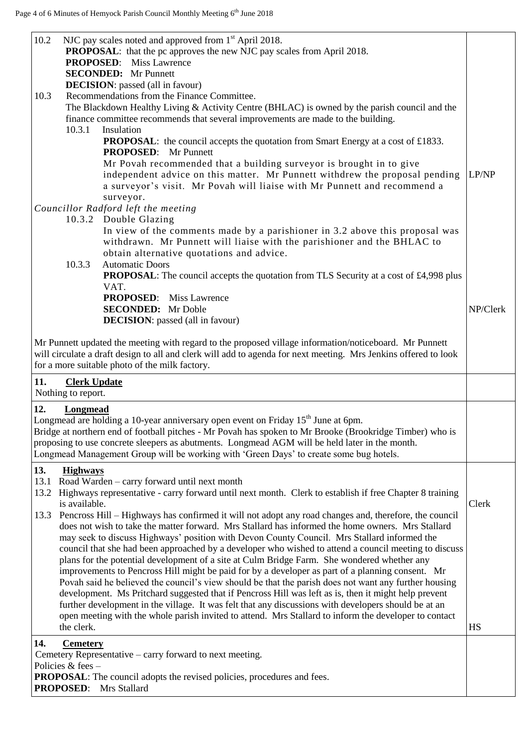| 10.2 | NJC pay scales noted and approved from 1 <sup>st</sup> April 2018.<br><b>PROPOSAL:</b> that the pc approves the new NJC pay scales from April 2018.<br><b>PROPOSED:</b> Miss Lawrence                                                                                                                                                                                                                             |          |
|------|-------------------------------------------------------------------------------------------------------------------------------------------------------------------------------------------------------------------------------------------------------------------------------------------------------------------------------------------------------------------------------------------------------------------|----------|
|      | <b>SECONDED:</b> Mr Punnett                                                                                                                                                                                                                                                                                                                                                                                       |          |
|      | <b>DECISION:</b> passed (all in favour)                                                                                                                                                                                                                                                                                                                                                                           |          |
| 10.3 | Recommendations from the Finance Committee.                                                                                                                                                                                                                                                                                                                                                                       |          |
|      | The Blackdown Healthy Living & Activity Centre (BHLAC) is owned by the parish council and the                                                                                                                                                                                                                                                                                                                     |          |
|      | finance committee recommends that several improvements are made to the building.                                                                                                                                                                                                                                                                                                                                  |          |
|      | 10.3.1<br>Insulation                                                                                                                                                                                                                                                                                                                                                                                              |          |
|      | <b>PROPOSAL:</b> the council accepts the quotation from Smart Energy at a cost of £1833.<br><b>PROPOSED:</b> Mr Punnett                                                                                                                                                                                                                                                                                           |          |
|      |                                                                                                                                                                                                                                                                                                                                                                                                                   |          |
|      | Mr Povah recommended that a building surveyor is brought in to give<br>independent advice on this matter. Mr Punnett withdrew the proposal pending<br>a surveyor's visit. Mr Povah will liaise with Mr Punnett and recommend a                                                                                                                                                                                    | LP/NP    |
|      | surveyor.                                                                                                                                                                                                                                                                                                                                                                                                         |          |
|      | Councillor Radford left the meeting                                                                                                                                                                                                                                                                                                                                                                               |          |
|      | 10.3.2 Double Glazing                                                                                                                                                                                                                                                                                                                                                                                             |          |
|      | In view of the comments made by a parishioner in 3.2 above this proposal was<br>withdrawn. Mr Punnett will liaise with the parishioner and the BHLAC to                                                                                                                                                                                                                                                           |          |
|      | obtain alternative quotations and advice.<br>10.3.3<br><b>Automatic Doors</b>                                                                                                                                                                                                                                                                                                                                     |          |
|      | <b>PROPOSAL:</b> The council accepts the quotation from TLS Security at a cost of £4,998 plus<br>VAT.                                                                                                                                                                                                                                                                                                             |          |
|      | <b>PROPOSED:</b> Miss Lawrence                                                                                                                                                                                                                                                                                                                                                                                    |          |
|      | <b>SECONDED:</b> Mr Doble                                                                                                                                                                                                                                                                                                                                                                                         | NP/Clerk |
|      | <b>DECISION:</b> passed (all in favour)                                                                                                                                                                                                                                                                                                                                                                           |          |
| 11.  | Mr Punnett updated the meeting with regard to the proposed village information/noticeboard. Mr Punnett<br>will circulate a draft design to all and clerk will add to agenda for next meeting. Mrs Jenkins offered to look<br>for a more suitable photo of the milk factory.                                                                                                                                       |          |
|      | <b>Clerk Update</b><br>Nothing to report.                                                                                                                                                                                                                                                                                                                                                                         |          |
| 12.  | Longmead<br>Longmead are holding a 10-year anniversary open event on Friday 15 <sup>th</sup> June at 6pm.<br>Bridge at northern end of football pitches - Mr Povah has spoken to Mr Brooke (Brookridge Timber) who is<br>proposing to use concrete sleepers as abutments. Longmead AGM will be held later in the month.<br>Longmead Management Group will be working with 'Green Days' to create some bug hotels. |          |
| 13.  | <b>Highways</b>                                                                                                                                                                                                                                                                                                                                                                                                   |          |
| 13.1 | Road Warden - carry forward until next month                                                                                                                                                                                                                                                                                                                                                                      |          |
| 13.2 | Highways representative - carry forward until next month. Clerk to establish if free Chapter 8 training                                                                                                                                                                                                                                                                                                           |          |
|      | is available.                                                                                                                                                                                                                                                                                                                                                                                                     | Clerk    |
| 13.3 | Pencross Hill – Highways has confirmed it will not adopt any road changes and, therefore, the council                                                                                                                                                                                                                                                                                                             |          |
|      | does not wish to take the matter forward. Mrs Stallard has informed the home owners. Mrs Stallard<br>may seek to discuss Highways' position with Devon County Council. Mrs Stallard informed the                                                                                                                                                                                                                  |          |
|      | council that she had been approached by a developer who wished to attend a council meeting to discuss                                                                                                                                                                                                                                                                                                             |          |
|      | plans for the potential development of a site at Culm Bridge Farm. She wondered whether any                                                                                                                                                                                                                                                                                                                       |          |
|      | improvements to Pencross Hill might be paid for by a developer as part of a planning consent. Mr                                                                                                                                                                                                                                                                                                                  |          |
|      | Povah said he believed the council's view should be that the parish does not want any further housing                                                                                                                                                                                                                                                                                                             |          |
|      | development. Ms Pritchard suggested that if Pencross Hill was left as is, then it might help prevent                                                                                                                                                                                                                                                                                                              |          |
|      | further development in the village. It was felt that any discussions with developers should be at an                                                                                                                                                                                                                                                                                                              |          |
|      | open meeting with the whole parish invited to attend. Mrs Stallard to inform the developer to contact                                                                                                                                                                                                                                                                                                             |          |
|      | the clerk.                                                                                                                                                                                                                                                                                                                                                                                                        | HS       |
| 14.  | <b>Cemetery</b>                                                                                                                                                                                                                                                                                                                                                                                                   |          |
|      | Cemetery Representative – carry forward to next meeting.                                                                                                                                                                                                                                                                                                                                                          |          |
|      | Policies & fees $-$                                                                                                                                                                                                                                                                                                                                                                                               |          |
|      | <b>PROPOSAL:</b> The council adopts the revised policies, procedures and fees.                                                                                                                                                                                                                                                                                                                                    |          |
|      | <b>PROPOSED:</b><br>Mrs Stallard                                                                                                                                                                                                                                                                                                                                                                                  |          |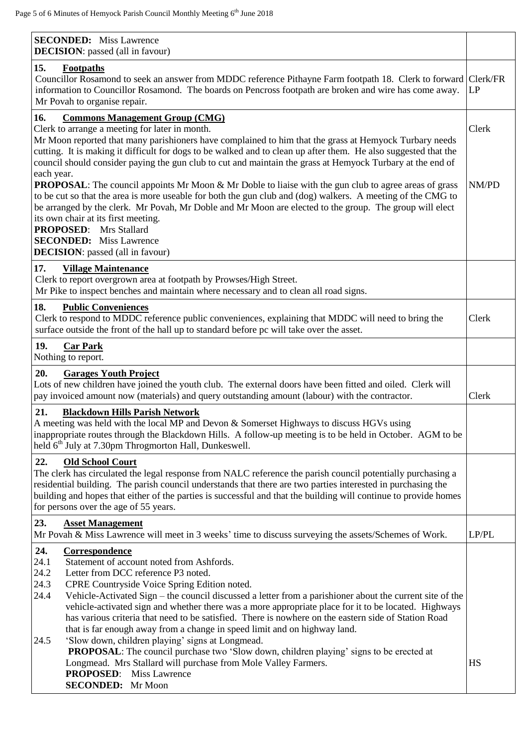| <b>SECONDED:</b> Miss Lawrence<br><b>DECISION</b> : passed (all in favour)                                                                                                                                                                                                                                                                                                                                                                                                                                                                                                                                                                                            |       |
|-----------------------------------------------------------------------------------------------------------------------------------------------------------------------------------------------------------------------------------------------------------------------------------------------------------------------------------------------------------------------------------------------------------------------------------------------------------------------------------------------------------------------------------------------------------------------------------------------------------------------------------------------------------------------|-------|
| 15.<br><b>Footpaths</b><br>Councillor Rosamond to seek an answer from MDDC reference Pithayne Farm footpath 18. Clerk to forward Clerk/FR<br>information to Councillor Rosamond. The boards on Pencross footpath are broken and wire has come away.<br>Mr Povah to organise repair.                                                                                                                                                                                                                                                                                                                                                                                   |       |
| 16.<br><b>Commons Management Group (CMG)</b><br>Clerk to arrange a meeting for later in month.<br>Mr Moon reported that many parishioners have complained to him that the grass at Hemyock Turbary needs<br>cutting. It is making it difficult for dogs to be walked and to clean up after them. He also suggested that the<br>council should consider paying the gun club to cut and maintain the grass at Hemyock Turbary at the end of<br>each year.                                                                                                                                                                                                               |       |
| <b>PROPOSAL:</b> The council appoints Mr Moon & Mr Doble to liaise with the gun club to agree areas of grass<br>to be cut so that the area is more useable for both the gun club and (dog) walkers. A meeting of the CMG to<br>be arranged by the clerk. Mr Povah, Mr Doble and Mr Moon are elected to the group. The group will elect<br>its own chair at its first meeting.<br><b>PROPOSED:</b> Mrs Stallard<br><b>SECONDED:</b> Miss Lawrence<br><b>DECISION</b> : passed (all in favour)                                                                                                                                                                          |       |
| 17.<br><b>Village Maintenance</b><br>Clerk to report overgrown area at footpath by Prowses/High Street.<br>Mr Pike to inspect benches and maintain where necessary and to clean all road signs.                                                                                                                                                                                                                                                                                                                                                                                                                                                                       |       |
| 18.<br><b>Public Conveniences</b><br>Clerk to respond to MDDC reference public conveniences, explaining that MDDC will need to bring the<br>surface outside the front of the hall up to standard before pc will take over the asset.                                                                                                                                                                                                                                                                                                                                                                                                                                  | Clerk |
| 19.<br><b>Car Park</b><br>Nothing to report.                                                                                                                                                                                                                                                                                                                                                                                                                                                                                                                                                                                                                          |       |
| 20.<br><b>Garages Youth Project</b>                                                                                                                                                                                                                                                                                                                                                                                                                                                                                                                                                                                                                                   |       |
| Lots of new children have joined the youth club. The external doors have been fitted and oiled. Clerk will<br>pay invoiced amount now (materials) and query outstanding amount (labour) with the contractor.                                                                                                                                                                                                                                                                                                                                                                                                                                                          | Clerk |
| 21.<br><b>Blackdown Hills Parish Network</b><br>A meeting was held with the local MP and Devon & Somerset Highways to discuss HGVs using<br>inappropriate routes through the Blackdown Hills. A follow-up meeting is to be held in October. AGM to be<br>held 6 <sup>th</sup> July at 7.30pm Throgmorton Hall, Dunkeswell.                                                                                                                                                                                                                                                                                                                                            |       |
| 22.<br><b>Old School Court</b><br>The clerk has circulated the legal response from NALC reference the parish council potentially purchasing a<br>residential building. The parish council understands that there are two parties interested in purchasing the<br>building and hopes that either of the parties is successful and that the building will continue to provide homes<br>for persons over the age of 55 years.                                                                                                                                                                                                                                            |       |
| 23.<br><b>Asset Management</b><br>Mr Povah & Miss Lawrence will meet in 3 weeks' time to discuss surveying the assets/Schemes of Work.                                                                                                                                                                                                                                                                                                                                                                                                                                                                                                                                | LP/PL |
| 24.<br><b>Correspondence</b><br>24.1<br>Statement of account noted from Ashfords.<br>24.2<br>Letter from DCC reference P3 noted.<br>24.3<br>CPRE Countryside Voice Spring Edition noted.<br>24.4<br>Vehicle-Activated Sign - the council discussed a letter from a parishioner about the current site of the<br>vehicle-activated sign and whether there was a more appropriate place for it to be located. Highways<br>has various criteria that need to be satisfied. There is nowhere on the eastern side of Station Road<br>that is far enough away from a change in speed limit and on highway land.<br>'Slow down, children playing' signs at Longmead.<br>24.5 |       |